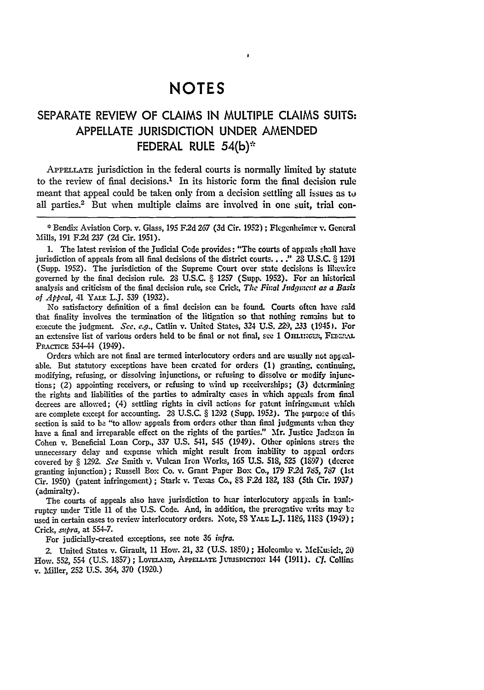## **NOTES**

## SEPARATE REVIEW OF **CLAIMS IN MULTIPLE CLAIMS SUITS: APPELLATE JURISDICTION UNDER AMENDED** FEDERAL RULE 54(b)\*

**APPELLATE** jurisdiction in the federal courts is normally limited by statute to the review of final decisions.<sup>1</sup> In its historic form the final decision rule meant that appeal could be taken only from a decision settling all issues as **to** all parties.<sup>2</sup> But when multiple claims are involved in one suit, trial con-

\* Bendb= Aviation Corp. v. Glass, **195 F.2d 267 (3d** Cir. **1932)** ; Flegenheimer v. General Mills, **191** F.2d **237** (2d Cir. 1951).

**1.** The latest revision of the Judicial Code provides: "The courts of appeals shall have jurisdiction of appeals from all final decisions of the district **courts...** *."* 23 **U.S.C.** § **1291** (Supp. 1952). The jurisdiction of the Supreme Court over state decisions is likewise governed **by** the final decision rule. 23 **U.S.C.** § **1257** (Supp. 1952). For an historical analysis and criticism of the final decision rule, see Crick, *The Final Judgmnent as a Basis of Appeal,* 41 **YA. E** L.J. **539 (1932).**

No satisfactory definition of a final decision can be found. Courts often have said that finality involves the termination of the litigation so that nothing remains but to execute the judgment. *See. e.g.,* Catlin v. United States, 324 **U.S.** 229, **133** (1945). For an extensive list of various orders held to be final or not final, see 1 OHLINGER, FEEERAL PRscricE 534-44 (1949).

Orders which are not final are termed interlocutory orders and are usually not appealable. But statutory exceptions have been created for orders **(1)** granting, continuing, modifying, refusing, or dissolving injunctions, or refusing to dissolve or modify injunctions; (2) appointing receivers, or refusing to wind up receiverships; (3) determining the rights and liabilities of the parties to admiralty cases in which appeals from final decrees are allowed; (4) settling rights in civil actions for patent infringement which are complete except for accounting. 2S **U.S.C.** § **1292** (Supp. **1952).** The purpoe **of** this section is said to be "to allow appeals from orders other than final judgments when they have a final and irreparable effect on the rights of the parties." Mr. Justice Jackson in Cohen v. Beneficial Loan Corp., 337 U.S. 541, 545 (1949). Other opinions stress the unnecessary delay and expense which might result from inability to appeal orders covered **by** § **1292.** *See* Smith v. Vulcan Iron Works, **165 U.S.** 518, 525 **(1897)** (decree granting injunction); Russell Box Co. v. Grant Paper Box Co., **179** F.2d 7S5, **787** (1st Cir. **1950)** (patent infringement) ; Stark v. Texas Co., **83** F2d 182, **183** (5th Cir. **1937)** (admiralty).

The courts of appeals also have jurisdiction to hear interlocutory appeals in bankruptcy under Title 11 of the U.S. Code. And, in addition, the prerogative writs may be used in certain cases to review interlocutory orders. Note, 58 YALE L.J. 1186, 1183 (1949); Crick, *supra,* at 554-7.

For judicially-created exceptions, see note **36** *infra.*

2. United States v. Girault, **11** How. 21, **32 (U.S. 1850);** Holcombe v. McKusicl:, **20** How. 552, 554 (U.S. 1857); Loveland, APPELLATE JURISDICTION 144 (1911). Cf. Collins v. Miller, 252 U.S. 364, **370** (1920.)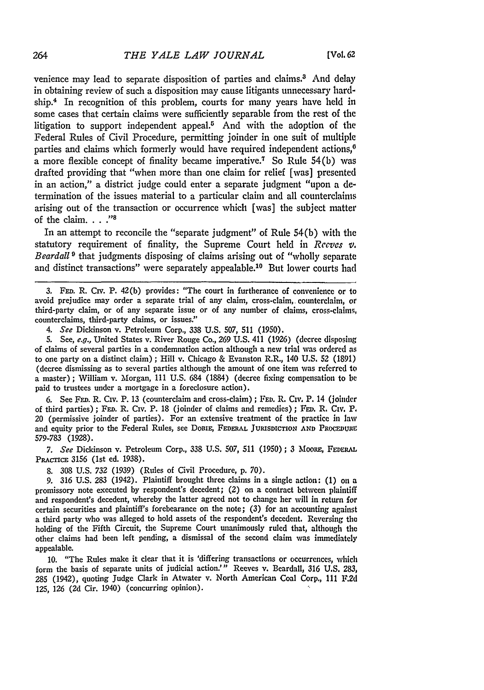venience may lead to separate disposition of parties and claims.<sup>3</sup> And delay in obtaining review of such a disposition may cause litigants unnecessary hardship.4 In recognition of this problem, courts for many years have held in some cases that certain claims were sufficiently separable from the rest **of** the litigation to support independent appeal.<sup> $5$ </sup> And with the adoption of the Federal Rules of Civil Procedure, permitting joinder in one suit of multiple parties and claims which formerly would have required independent actions, $<sup>0</sup>$ </sup> a more flexible concept of finality became imperative.<sup>7</sup> So Rule  $54(b)$  was drafted providing that "when more than one claim for relief [was] presented in an action," a district judge could enter a separate judgment "upon a determination of the issues material to a particular claim and all counterclaims arising out of the transaction or occurrence which [was] the subject matter of the claim. . **.. "s**

In an attempt to reconcile the "separate judgment" of Rule 54(b) with the statutory requirement of finality, the Supreme Court held in *Rezes v. Beardall*<sup>9</sup> that judgments disposing of claims arising out of "wholly separate and distinct transactions" were separately appealable.10 But lower courts had

3. **FED.** R. Crv. P. 42(b) provides: "The court in furtherance of convenience or to avoid prejudice may order a separate trial of any claim, cross-claim,, counterclaim, or third-party claim, or of any separate issue or of any number of claims, cross-claims, counterclaims, third-party claims, or issues."

*4. See* Dickinson v. Petroleum Corp., 338 U.S. **507,** 511 (1950).

**5.** See, *e.g.,* United States v. River Rouge Co., **269** U.S. 411 (1926) (decree disposing of claims of several parties in a condemnation action although a new trial was ordered **as** to one party on a distinct claim); Hill v. Chicago & Evanston R.R., 140 U.S. 52 (1891) (decree dismissing as to several parties although the amount of one item was referred to a master) **;** William v. Morgan, 111 U.S. 684 (1884) (decree fixing compensation to be paid to trustees under a mortgage in a foreclosure action).

**6.** See FED. R. Civ. P. 13 (counterclaim and cross-claim) **;** FED. R. Civ. P. 14 (joinder of third parties); FED. R. Civ. P. 18 (joinder of claims and remedies); FED. R. Civ. P. 20 (permissive joinder of parties). For an extensive treatment of the practice in law and equity prior to the Federal Rules, see DOBIE, FEDERAL JURISDICTION AND PROCEDURE 579-783 (1928).

7. See Dickinson v. Petroleum Corp., 338 U.S. 507, 511 (1950) ; 3 Moore, FEDERAL **PRACcE** 3156 (1st **ed.** 1938).

8. **308** U.S. **732** (1939) (Rules of Civil Procedure, **p.** 70).

9. **316** U.S. **283** (1942). Plaintiff brought three claims in a single action: (1) on a promissory note executed by respondent's decedent; (2) on a contract between plaintiff and respondent's decedent, whereby the latter agreed not to change her will in return for certain securities and plaintiff's forebearance on the note; **(3)** for an accounting against a third party who was alleged to hold assets of the respondent's decedent. Reversing the holding of the Fifth Circuit, the Supreme Court unanimously ruled that, although the other claims had been left pending, a dismissal of the second claim was immediately appealable.

10. "The Rules make it clear that it is 'differing transactions or occurrences, which form the basis of separate units of judicial action'" Reeves v. Beardall, **316** U.S. 283, 285 (1942), quoting Judge Clark in Atwater v. North American Coal Corp., 111 F.2d 125, 126 **(2d** Cir. 1940) (concurring opinion).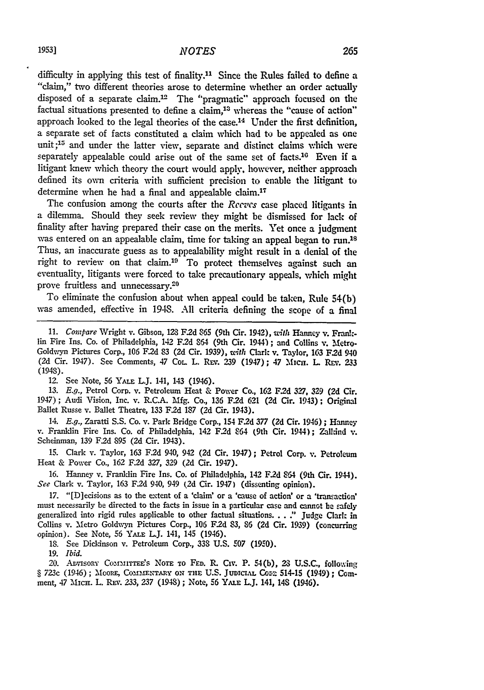difficulty in applying this test of finality.<sup>11</sup> Since the Rules failed to define a "claim," two different theories arose to determine whether an order actually disposed of a separate claim.<sup>12</sup> The "pragmatic" approach focused on the factual situations presented to define a claim,<sup>13</sup> whereas the "cause of action" approach looked to the legal theories of the case.<sup>14</sup> Under the first definition, a separate set of facts constituted a claim which **had to** be appealed as one **unit;15** and under the latter view, separate and distinct claims which were separately appealable could arise out of the same set of facts.<sup>16</sup> Even if a litigant knew which theory the court would apply, however, neither approach defined its own criteria with sufficient precision to enable the litigant to determine when he had a final and appealable claim.<sup>17</sup>

The confusion among the courts after the *Reeves* case placed litigants in a dilemma. Should they seek review they might be dismissed for lack of finality after having prepared their case on the merits. Yet once a judgment was entered on an appealable claim, time for taking an appeal began to run.<sup>18</sup> Thus, an inaccurate guess as to appealability might result in a denial of the right to review on that claim.<sup>19</sup> To protect themselves against such an eventuality, litigants were forced to take precautionary appeals, which might prove fruitless and unnecessary.<sup>20</sup>

To eliminate the confusion about when appeal could be taken, Rule 54(b) was amended, effective in **1948. All** criteria defining the scope of a final

**11.** *Compare* Wright v. Gibson, 128 F2d **S65** (9th Cir. 1942), *uith* Hanney v. Franklin Fire Ins. Co. of Philadelphia, 142 **F.2d** S64 (9th Cir. 1944); and Collins v. Metro-Goldwyn Pictures Corp., **106 F.2d 83 (2d** Cir. **1939),** *with* Clark v. Taylor, **163 F2d** 940 (2d Cir. 1947). See Comments, 47 Col. L. REV. 239 (1947); 47 MICH. L. REV. 233 (1948).

12. See Note, **56** YALE L.J. 141, 143 (1946).

13. *E.g., Petrol Corp. v. Petroleum Heat & Power Co., 162 F.2d 327, 329 (2d Cir.* 1947); Audi Vision, Inc. v. R.C.A. **Mfg.** Co., **136** F2d 621 **(2d** Cir. 1943); Original Ballet Russe v. Ballet Theatre, **133** F.2d **187** (2d Cir. 1943).

14. *E.g.,* Zaratti **S.S.** Co. v. Park Bridge Corp., 154 F.2d **377 (Qd** Cir. 1946); Hanney v. Franklin Fire Ins. Co. of Philadelphia, 142 **F.2d** *864* (9th Cir. 1944); Zalkind v. Scheinman, **139** F2d **895 (2d** Cir. 1943).

**15.** Clark v. Taylor, **163 F.2d** 940, 942 **(2d** Cir. 1947); Petrol Corp. **v.** Petroleum Heat & Power Co., 162 **F.2d 327, 329** (2d Cir. 1947).

16. Hanney v. Franklin Fire Ins. Co. of Philadelphia, 142 F2d 854 (9th Cir. 1944). *See* Clark v. Taylor, **163** F.2d 940, 949 (2d Cir. 1947) (dissenting opinion).

17. "[D]ecisions as to the extent of a *'claim'* or a 'cause of action' or a 'transaction' must necessarily be directed to the facts in issue in a particular case and cannot **be** safely generalized into rigid rules applicable to other factual situations... ." Judge Clark in Collins v. 'Metro Goldwvyn Pictures Corp., **106** F2d **83, 86 (2d** Cir. **1939)** (concurring opinion). See Note, **56 YALE UJ.** 141, 145 (1946).

18. See Dickinson v. Petroleum Corp., **338** U.S. S07 (1950).

**19.** *Ibid.*

20. **ADvISORY** Co. iiiTTa's **NOTE** To FaD. R. Civ. P. 54(b), **23 U.S.C.,** following § 723c (1946); MOORE, COMMENTARY ON THE U.S. JUDICIAL CODE 514-15 (1949); Comment, 47 MicH. L. REv. **233, 237** (1948) **;** Note, **56** YALE L.J. 141, 148 (1946).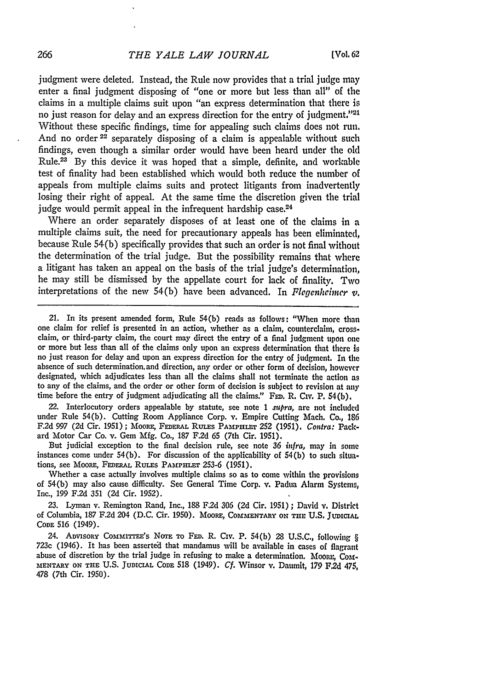judgment were deleted. Instead, the Rule now provides that a trial **judge** may enter a final judgment disposing of "one or more but less than all" of the claims in a multiple claims suit upon "an express determination that there is no just reason for delay and an express direction for the entry of judgment."<sup>1</sup> Without these specific findings, time for appealing such claims does not run. And no order <sup>22</sup> separately disposing of a claim is appealable without such findings, even though a similar order would have been heard under the old Rule. 23 By this device it was hoped that a simple, definite, and workable test of finality had been established which would both reduce the number of appeals from multiple claims suits and protect litigants from inadvertently losing their right of appeal. At the same time the discretion given the trial judge would permit appeal in the infrequent hardship case.<sup>24</sup>

Where an order separately disposes of at least one of the claims in a multiple claims suit, the need for precautionary appeals has been eliminated, because Rule 54(b) specifically provides that such an order is not final without the determination of the trial judge. But the possibility remains that where a litigant has taken an appeal on the basis of the trial judge's determination, he may still be dismissed by the appellate court for lack of finality. Two interpretations of the new 54(b) have been advanced. In *Flegenhcimer v.* 

22. Interlocutory orders appealable by statute, see note 1 *supra,* are not included under Rule 54(b). Cutting Room Appliance Corp. v. Empire Cutting Mach. Co,, 186 F.2d *997* (2d Cir. 1951); MOORE, **FEDERAL** RULEs **PAMpHLET** 252 (1951). *Contra:* Packard Motor Car Co. v. Gem Mfg. Co., 187 F.2d **65** (7th Cir. 1951).

But judicial exception to the final decision rule, see note 36 *infra,* may in some instances come under 54(b). For discussion of the applicability of 54(b) to such situations, see Moore, FEDERAL RULES PAMPHLET 253-6 (1951).

Whether a case actually involves multiple claims so as to come within the provisions of 54(b) may also cause difficulty. See General Time Corp. v. Padua Alarm Systems, Inc., 199 F.2d 351 (2d Cir. 1952).

**23.** Lyman v. Remington Rand, Inc., 188 F2d 306 (2d Cir. 1951); David v. District of Columbia, 187 F.2d 204 **(D.C.** Cir. 1950). MOORE, ComMENTARY **ON THE U.S. JUrDCIAL CODE 516** (1949).

24. ADVISORY COMMITTEE'S NOTE TO FED. R. CIV. P. 54(b) 28 U.S.C., following § 723c (1946). It has been asserted that mandamus will be available in cases of flagrant abuse of discretion by the trial judge in refusing to make a determination. Moone,  $\text{Com}$ -**MENTARY ON THE U.S. JUDICIAL** CODE 518 (1949). *Cf.* Winsor v. Daumit, 179 **F.2d** 475, **478** (7th Cir. 1950).

<sup>21.</sup> In its present amended form, Rule 54(b) reads as follows: "When more than one claim for relief is presented in an action, whether as a claim, counterclaim, crossor more but less than all of the claims only upon an express determination that there is no just reason for delay and upon an express direction for the entry of judgment. In the absence of such determination. and direction, any order or other form of decision, however designated, which adjudicates less than all the claims shall not terminate the action as to any of the claims, and the order or other form of decision is subject to revision at any time before the entry of judgment adjudicating all the claims." FED. R. Civ. P.  $54(b)$ .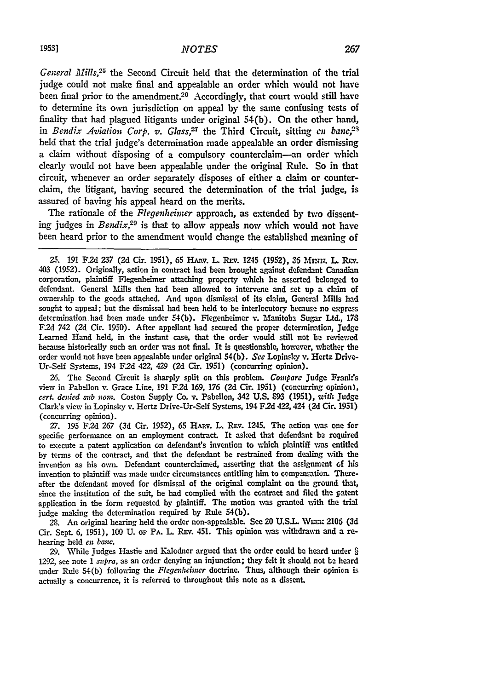*General Mills*,<sup>25</sup> the Second Circuit held that the determination of the trial judge could not make final and appealable an order which would not have been final prior to the amendment.<sup>26</sup> Accordingly, that court would still have to determine its own jurisdiction on appeal by the same confusing tests of finality that had plagued litigants under original 54(b). On the other hand, in *Bendix Aviation Corp. v. Glass*,<sup>27</sup> the Third Circuit, sitting *cn banc*,<sup>23</sup> held that the trial judge's determination made appealable an order dismissing a claim without disposing of a compulsory counterclaim-an order which clearly would not have been appealable under the original Rule. So in that circuit, whenever an order separately disposes of either a claim or counterclaim, the litigant, having secured the determination of the trial judge, is assured of having his appeal heard on the merits.

The rationale of the *Flegenheimer* approach, as extended by two dissenting judges in *Bendix,29* is that to allow appeals now which would not have been heard prior to the amendment would change the established meaning of

26. The Second Circuit is sharply split on this problem. *Compare* Judge Frank's view in Pabellon v. Grace Line, **191** F2d **169, 176** (2d Cir. 1951) (concurring opinion), *cert. denied sub nor.* Coston Supply Co. v. Pabellon, 342 U.S. 893 (1951), *uitth* Judge Clark's view in Lopinsky v. Hertz Drive-Ur-Self Systems, 194 F2d **42,** 424 (2d Cir. 1951) (concurring opinion).

27. 195 **F.2d 267 (3d Cir. 1952), 65 HARV. L. REV. 1245. The action was one for** specific performance on an employment contract. It asked that defendant be required to execute a patent application on defendant's invention to which plaintiff was entitled by terms of the contract, and that the defendant be restrained from dealing vith the invention as his own. Defendant counterclaimed, asserting that the assignment of his invention to plaintiff was made under circumstances entitling him to compeansation. Thereafter the defendant moved for dismissal of the original complaint on the ground that, since the institution of the suit, he had complied with the contract and **filed** the patent application in the form requested by plaintiff. The motion vwas granted with the trial judge making the determination required by Rule 54(b).

28. An original hearing held the order non-appealable. See 20 U.S.L. WEEK 2106 (3d Cir. Sept. 6, 1951), 100 **U.** oF PA. L. REv. 451. This opinion was withdrawn and a rehearing held *en bane.*

**29.** While Judges Hastie and Kalodner argued that the order could be heard under § 1292, see note 1 *sirpra,* as an order denying an injunction; they felt it should not ba heard under Rule 54(b) following the *Flegehcliher* doctrine. Thus, although their opinion is actually a concurrence, it is referred to throughout this note as a dissent.

**<sup>25.</sup>** 191 F.2d **237 (2d** Cir. 1951), **65** HAnv. I REV. 1245 (1952), *35* **'** Mnni. I Rnv. 403 (1952). Originally, action in contract had been brought against defendant Canadian corporation, plaintiff Flegenheimer attaching property which he asserted belonged to defendant. General Mills then had been allowed to intervene and set up a claim of ownership to the goods attached. And upon dismissal of its claim, General Mills had sought to appeal; but the dismissal had been held to be interlocutory because no express determination had been made under 54(b). Flegenheimer v. Manitoba Sugar Ltd., **178** F2d 742 (2d Cir. 1950). After appellant had secured the proper determination, Judge Learned Hand held, in the instant case, that the order would still not be reviewed because historically such an order was not final. It is questionable, however, whether the order would not have been appealable under original 54(b). *See* Lopinsky v. Hertz Drive-Ur-Self Systems, 194 F2d 422, 429 **(2d** Cir. 1951) (concurring opinion).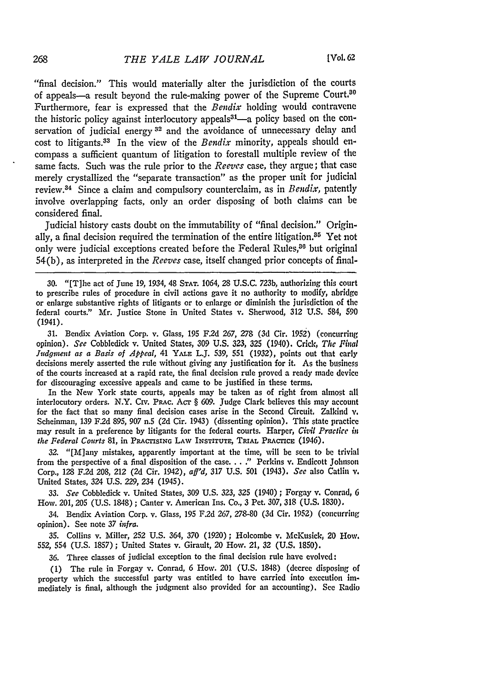"final decision." This would materially alter the jurisdiction of the courts of appeals-a result beyond the rule-making power of the Supreme Court.<sup>80</sup> Furthermore, fear is expressed that the *Bendix* holding would contravene the historic policy against interlocutory appeals<sup>31</sup>—a policy based on the conservation of judicial energy<sup>32</sup> and the avoidance of unnecessary delay and cost to litigants.<sup>33</sup> In the view of the *Bendix* minority, appeals should encompass a sufficient quantum of litigation to forestall multiple review of the same facts. Such was the rule prior to the *Reeves* case, they argue; that case merely crystallized the "separate transaction" as the proper unit for judicial review.3 4 Since a claim and compulsory counterclaim, as in *Bendix,* patently involve overlapping facts, only an order disposing of both claims can **be** considered final.

Judicial history casts doubt on the immutability of "final decision." Originally, a final decision required the termination of the entire litigation.<sup>85</sup> Yet not only were judicial exceptions created before the Federal Rules,<sup>36</sup> but original 54(b), as interpreted in the *Reeves* case, itself changed prior concepts of final-

30. "[T]he act of June 19, 1934, 48 STAT. 1064, 28 U.S.C. 723b, authorizing this court to prescribe rules of procedure in civil actions gave it no authority to modify, abridge or enlarge substantive rights of litigants or to enlarge or diminish the jurisdiction of the federal courts." Mr. Justice Stone in United States v. Sherwood, 312 **U.S.** 584, 590 (1941).

31. Bendix Aviation Corp. v. Glass, **195** F.2d *267, 278* (3d Cir. 1952) (concurring opinion). *See* Cobbledick v. United States, 309 U.S. 323, 325 (1940). Crick, *The Filial Judgment as a Basis* **of** *Appeal,* 41 YA.E L.J. 539, 551 (1932), points out that early decisions merely asserted the rule without giving any justification for it. As the business of the courts increased at a rapid rate, the final decision rule proved a ready made device for discouraging excessive appeals and came to be justified in these terms.

In the New York state courts, appeals may be taken as of right from almost all interlocutory orders. N.Y. Civ. PRac. Acr § 609. Judge Clark believes this may account for the fact that so many final decision cases arise in the Second Circuit. Zalkind v. Scheinman, 139 F.2d 895, 907 n.5 (2d Cir. 1943) (dissenting opinion). This state practice may result in a preference by litigants for the federal courts. Harper, *Civil Practice in the Federal Courts 81, in PRACTISING LAW INSTITUTE, TRIAL PRACTICE (1946).* 

32. "[M]any mistakes, apparently important at the time, will be seen to be trivial from the perspective of a final disposition of the case. . . **."** Perkins v. Endicott Johnson Corp., 128 F.2d 208, 212 (2d Cir. 1942), *aff'd, 317* U.S. 501 (1943). *See* also Catlin v. United States, 324 U.S. *229,* 234 (1945).

33. *See* Cobbledick v. United States, 309 U.S. 323, 325 (1940) ; Forgay v. Conrad, 6 How. 201, 205 (U.S. 1848) ; Canter v. American Ins. Co., 3 Pet. 307, 318 (U.S. 1830).

34. Bendix Aviation Corp. v. Glass, 195 F.2d *267,* 278-80 (3d Cir. 1952) (concurring opinion). See note 37 **infra.**

35. Collins v. Miller, 252 U.S. 364, *370* (1920); Holcombe v. McKusick, 20 How. 552, 554 (U.S. 1857); United States v. Girault, 20 How. 21, **32** (U.S. 1850).

36. Three classes of judicial exception to the final decision rule have evolved:

(1) The rule in Forgay v. Conrad, 6 How. 201 (U.S. 1848) (decree disposing of property which the successful party was entitled to have carried into execution immediately is final, although the judgment also provided for an accounting). See Radio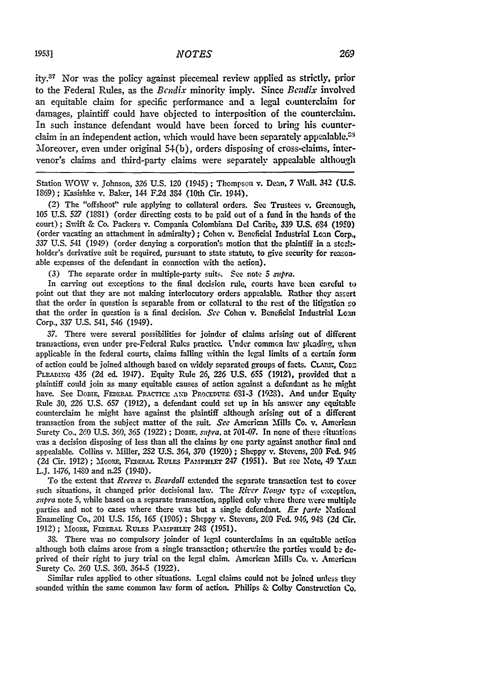ity.37 Nor was the policy against piecemeal review applied as strictly, prior to the Federal Rules, as the *Bendix* minority imply. Since *Bendix* involved an equitable claim for specific performance and a legal counterclaim for damages, plaintiff could have objected to interposition of the counterclaim. In such instance defendant would have been forced to bring his counterclaim in an independent action, which would have been separately appealable.<sup>33</sup> Moreover, even under original 54(b), orders disposing of cross-claims, intervenor's claims and third-party claims were separately appealable although

Station WOW v. Johnson, *326* **U.S.** 120 (1945); Thompson v. Dean, **7** Wall. 342 **(U.S. 1869) ;** Kasishke v. Baker, 144 **F.2d** 384 (10th Cir. 1944).

(2) The "offshoot" rule applying to collateral orders. **See** Trustees **v.** Greenough, **105 U.S.** *527* **(1881)** (order directing costs to be paid out of a fund in the hands of the court); Swift & Co. Packers v. Compania Colombiana Del Caribe, **339 U.S.** *6M4* **(1950)** (order vacating an attachment in admiralty); Cohen v. Beneficial Industrial Loan Corp., 337 U.S. 541 (1949) (order denying a corporation's motion that the plaintiff in a stockholder's derivative suit be required, pursuant to state statute, to give security for reasonable expenses of the defendant in connection with the action).

**(3)** The separate order in multiple-party suits. See note *5 stpra.*

In carving out exceptions to the final decision rule, courts have been careful **to** point out that they are not making interlocutory orders appealable. Rather they assert that the order in question is separable from or collateral to the rest **of** the litigation so that the order in question is a final decision. *Sec* Cohen v. Beneficial Industrial Loan Corp., **337** U.S. 541, 546 (1949).

**37.** There were several possibilities for joinder of claims arising out of different transactions, even under pre-Federal Rules practice. Under common law pleading, when applicable in the federal courts, claims falling within the legal limits of a certain form of action could be joined although based on widely separated groups of facts. CLARK, CODE **PLEADING** 436 **(2d** ed. 1947). Equity Rule **26, 226 U.S. 655 (1912),** provided that a plaintiff could join as many equitable causes of action against a defendant as he might have. See DOBIE, FEDERAL PRACTICE AND PROCEDURE 6S1-3 (1923). And under Equity Rule 30, *226* U.S. *657* (1912), a defendant could set up in his answer any equitable counterclaim he might have against the plaintiff although arising out of a different transaction from the subject matter of the suit. *See* American Mills Co. v. American Surety Co., 260 U.S. 360, 365 (1922) ; Dobin, *supra*, at 701-07. In none of these situations was a decision disposing of less than all the claims **by** one party against another final and appealable. Collins v. Miller, **252** U.S. 364, 370 (1920) ; Sheppy **v.** Stevens, 200 Fed. 946 (2d Cir. 1912) ; Moopi, **FEDERAL RuLES** PAmPHLrr 247 (1951). But see Note, 49 *YAmx* L.J. 1476, 1480 and n.25 (1940).

To the extent that *Reeves v. Beardall* extended the separate transaction test to cover such situations, it changed prior decisional law. The *River Rouge* type of exception, *supra* note **5,** while based on a separate transaction, applied only where there were multiple parties and not to cases where there was but a single defendant. *Ex parte* National Enameling Co., 201 U.S. *156,* 165 (1906); **Sheppy** v. Stevens, 200 Fed. *946,* 943 **(2d** Cir. 1912); 'ooRE, FEDERAL RULES **PAmPHLET** 248 **(1951).**

**38.** There was no compulsory joinder of legal counterclaims in an equitable action although both claims arose from a single transaction; otherwise the parties would be deprived of their right to jury trial on the legal claim. American Mills Co. **v.** American Surety Co. 260 **U.S.** 360. 364-5 (1922).

Similar rules applied to other situations. Legal claims could not be joined unless they sounded within the same common law form of action. Philips & Colby Construction Co.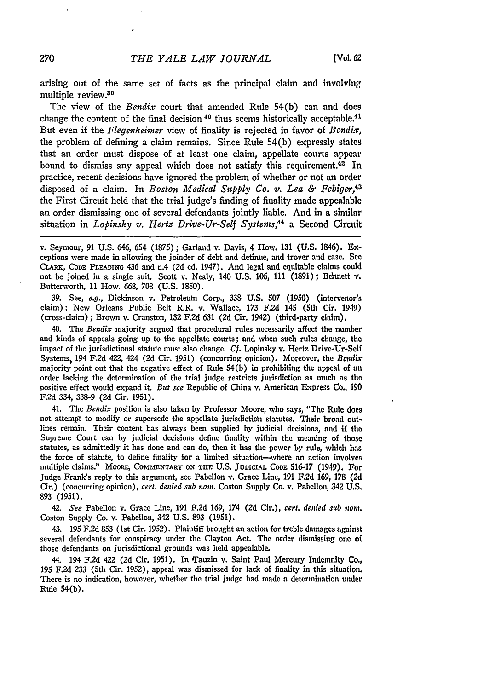arising out of the same set of facts as the principal claim and involving multiple review.<sup>89</sup>

The view of the *Bendix* court that amended Rule 54(b) can and does change the content of the final decision <sup>40</sup> thus seems historically acceptable.<sup>41</sup> But even if the *Flegenheimer* view of finality is rejected in favor of *Bcndix,* the problem of defining a claim remains. Since Rule 54(b) expressly states that an order must dispose of at least one claim, appellate courts appear bound to dismiss any appeal which does not satisfy this requirement.42 In practice, recent decisions have ignored the problem of whether or not an order disposed of a claim. In *Boston Medical Supply Co. v. Lea & Fcbigcr,43* the First Circuit held that the trial judge's finding of finality made appealable an order dismissing one of several defendants jointly liable. And in a similar situation in *Lopinsky v. Hertz Drive-Ur-Self Systems*,<sup>44</sup> a Second Circuit

**39.** See, *e.g.,* Dickinson v. Petroleutn Corp., **338** U.S. 507 (1950) (intervenor's claim); New Orleans Public Belt R.R. v. Wallace, 173 F.2d 145 (5th Cir. 1949) (cross-claim); Brown v. Cranston, 132 F.2d 631 (2d Cir. 1942) (third-party claim),

40. The *Bendix* majority argued that procedural rules necessarily affect the number and kinds of appeals going up to the appellate courts; and when such rules change, the impact of the jurisdictional statute must also change. *Cf.* Lopinsky v. Hertz Drive-Ur-Self Systems, 194 F.2d 422, 424 (2d Cir. 1951) (concurring opinion). Moreover, the *Bendix* majority point out that the negative effect of Rule 54(b) in prohibiting the appeal of an order lacking the determination of the trial judge restricts jurisdiction as much as the positive effect would expand it. *But see* Republic of China v. American Express Co., 190 **F.2d** 334, 338-9 (2d Cir. 1951).

41. The *Bendix* position is also taken by Professor Moore, who says, "The Rule does not attempt to modify or supersede the appellate jurisdiction statutes. Their broad outlines remain. Their content has alvays been supplied by judicial decisions, and if the Supreme Court can by judicial decisions define finality within the meaning of those statutes, as admittedly it has done and can do, then it has the power by rule, which has the force of statute, to define finality for a limited situation-where an action involves multiple claims." MooR, **COMMENTARY ON THE** U.S. **JUDIcIAL CODE** 516-17 (1949). For Judge Frank's reply to this argument, see Pabellon v. Grace Line, **191 F2d** 169, **178 (2d** Cir.) (concurring opinion), *cert. denied sub noin.* Coston Supply Co. v. Pabellon, 342 **U.S,** 893 **(1951).**

42. *See* Pabellon v. Grace Line, 191 F.2d 169, 174 **(2d** Cir.), *cert. denied sub nora.* Coston Supply Co. v. Pabellon, 342 U.S. 893 (1951).

43. 195 F.2d 853 (1st Cir. 1952). Plaintiff brought an action for treble damages against several defendants for conspiracy under the Clayton Act. The order dismissing one of those defendants on jurisdictional grounds was held appealable.

44. 194 F.2d 422 **(2d** Cir. 1951). In 'rauzin v. Saint Paul Mercury Indemnity Co., 195 F.2d 233 (5th Cir. 1952), appeal was dismissed for lack of finality in this situation. There is no indication, however, whether the trial judge had made a determination under Rule 54(b).

v. Seymour, 91 U.S. 646, 654 (1875) ; Garland v. Davis, 4 How. 131 (U.S. 1846). Exceptions were made in allowing the joinder of debt and detinue, and trover and case. See **CLARK, CODE PLEADING** 436 and n.4 (2d ed. 1947). And legal and equitable claims could not be joined in a single suit. Scott v. Nealy, 140 U.S. 106, 111 (1891); Behnett v. Butterworth, 11 How. 668, 708 (U.S. 1850).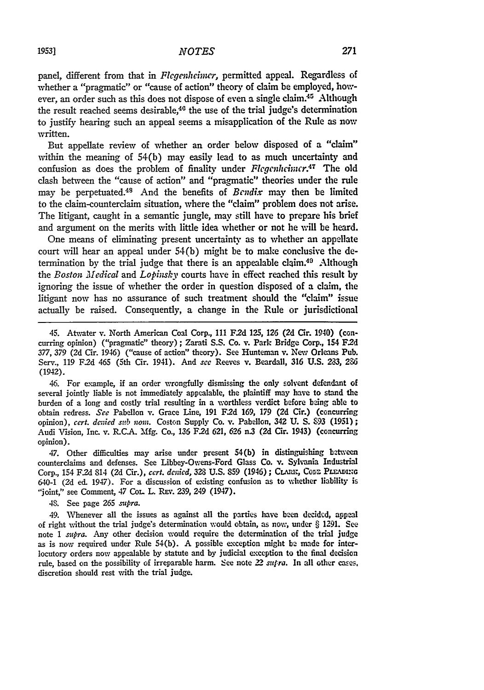panel, different from that in Flegenheimer, permitted appeal. Regardless of whether a "pragmatic" or "cause of action" theory of claim be employed, however, an order such as this does not dispose of even a single claim.<sup>45</sup> Although the result reached seems desirable,<sup>40</sup> the use of the trial judge's determination to justify hearing such an appeal seems a misapplication of the Rule as now written.

But appellate review of whether an order below disposed of a "claim" within the meaning of 54(b) may easily lead to as much uncertainty and confusion as does the problem of finality under *Flegenheimer*.<sup>47</sup> The old clash between the "cause of action" and "pragmatic" theories under the rule may be perpetuated. 48 And the benefits of *Bendix* may then be limited to the claim-counterclaim situation, where the "claim" problem does not arise. The litigant, caught in a semantic jungle, may still have to prepare his brief and argument on the merits with little idea whether or not he will be heard.

One means of eliminating present uncertainty as to whether an appellate court will hear an appeal under 54(b) might be to make conclusive the determination by the trial judge that there is an appealable claim.<sup>49</sup> Although the *Boston Medical* and *Lopinsky* courts have in effect reached this result **by** ignoring the issue of whether the order in question disposed of a claim, the litigant now has no assurance of such treatment should the "claim" issue actually be raised. Consequently, a change in the Rule or jurisdictional

45. Atwater v. North American Coal Corp., 111 F2d **125, 126 (2d** Cir. 1940) (concurring opinion) ("pragmatic!' theory) ; Zarati **S.S.** Co. v. Park Bridge Corp., 154 **F.2d** 377, *379* **(2d** Cir. 1946) ("cause of action" theory). See Hunteman v. New Orleans Pub. Serv., 119 F2d 465 (5th Cir. 1941). And see Reeves v. Beardall, **316 U.S. 2,33, <sup>286</sup>** (1942).

46. For example, if an order wrongfully dismissing the only solvent defendant of several jointly liable is not immediately appealable, the plaintiff may have to stand the burden of a long and costly trial resulting in a worthless verdict before being able to obtain redress. *See* Pabellon **v.** Grace Line, **191 F.2d** 169, **179** (2d Cir.) (concurring opinion), *cert. denied sub* norw. Coston Supply Co. v. Pabellon, 342 **U. S. S93 (1951) ;** Audi Vision, Inc. v. R.C.A. **Mfg.** Co., **136** F.2d 621, **626** n.3 (2d Cir. 1943) (concurring opinion).

47. Other difficulties may arise under present 54(b) in distinguishing btween counterclaims and defenses. See Libbey-Owens-Ford Glass Co. v. Sylvania Industrial Corp., 154 F.2d 814 (2d Cir.), cert. denied, 328 U.S. 859 (1946); CLARK, CODE PLEADING 640-1 (2d ed. 1947). For a discussion of existing confusion as to whether liability is "joint," see Comment, 47 CoL. L. RE%. **239,** 249 (1947).

48. See page **265** *supra.*

49. Whenever all the issues as against all the parties have been decided, appeal of right without the trial judge's determination would obtain, as now, under § 1291. **See** note 1 *supra.* Any other decision would require the determination of the trial judge as is now required under Rule 54(b). A possible exception might **be** made for interlocutory orders now appealable by statute and by judicial exception to the final decision rule, based on the possibility of irreparable harm. See note 22 supra. In all other cases, discretion should rest with the trial judge.